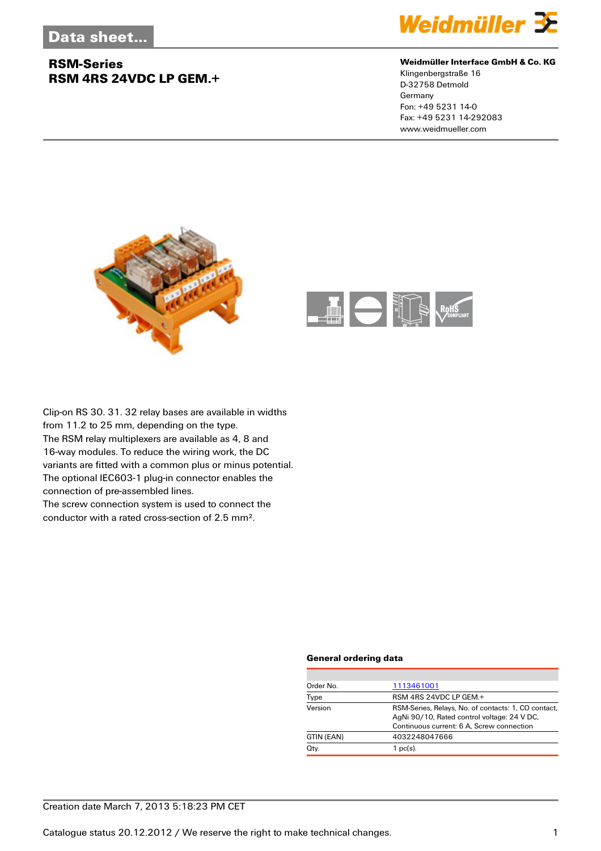## **RSM-Series RSM 4RS 24VDC LP GEM.+**



#### **Weidmüller Interface GmbH & Co. KG**

Klingenbergstraße 16 D-32758 Detmold Germany Fon: +49 5231 14-0 Fax: +49 5231 14-292083 www.weidmueller.com





Clip-on RS 30. 31. 32 relay bases are available in widths from 11.2 to 25 mm, depending on the type. The RSM relay multiplexers are available as 4, 8 and 16-way modules. To reduce the wiring work, the DC variants are fitted with a common plus or minus potential. The optional IEC603-1 plug-in connector enables the connection of pre-assembled lines. The screw connection system is used to connect the

conductor with a rated cross-section of 2.5 mm².

#### **General ordering data**

| Order No.  | 1113461001                                                                                                                                      |
|------------|-------------------------------------------------------------------------------------------------------------------------------------------------|
| Type       | RSM 4RS 24VDC LP GEM.+                                                                                                                          |
| Version    | RSM-Series, Relays, No. of contacts: 1, CO contact,<br>AgNi 90/10, Rated control voltage: 24 V DC,<br>Continuous current: 6 A, Screw connection |
| GTIN (EAN) | 4032248047666                                                                                                                                   |
| Qty.       | $1$ pc(s).                                                                                                                                      |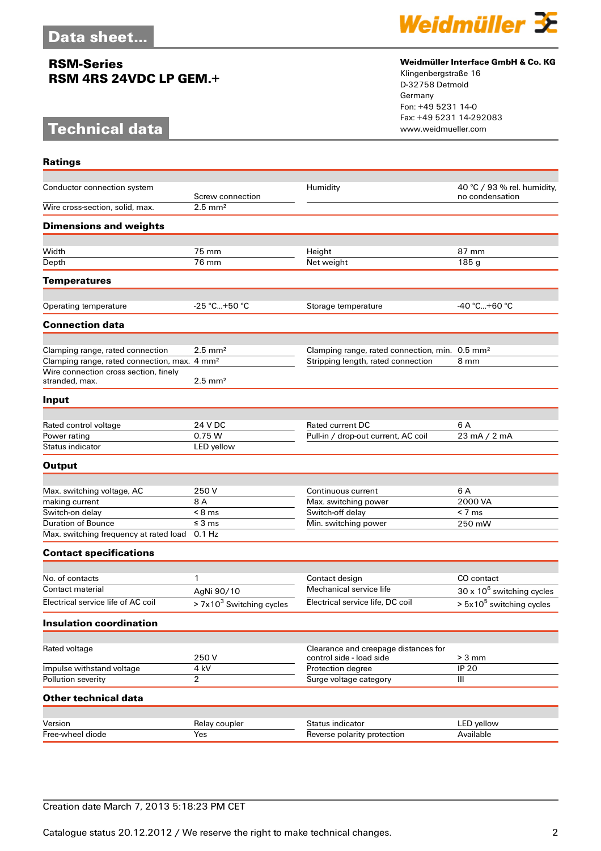## **RSM-Series RSM 4RS 24VDC LP GEM.+**

# **Technical data**

**Ratings**



#### **Weidmüller Interface GmbH & Co. KG**

Klingenbergstraße 16 D-32758 Detmold Germany Fon: +49 5231 14-0 Fax: +49 5231 14-292083

| Conductor connection system                              | Humidity                   |                                                            | 40 °C / 93 % rel. humidity,       |
|----------------------------------------------------------|----------------------------|------------------------------------------------------------|-----------------------------------|
|                                                          | Screw connection           |                                                            | no condensation                   |
| Wire cross-section, solid, max.                          | $2.5$ mm <sup>2</sup>      |                                                            |                                   |
| <b>Dimensions and weights</b>                            |                            |                                                            |                                   |
|                                                          |                            |                                                            |                                   |
| Width                                                    | 75 mm                      | Height                                                     | 87 mm                             |
| Depth                                                    | 76 mm                      | Net weight                                                 | 185 g                             |
| <b>Temperatures</b>                                      |                            |                                                            |                                   |
| Operating temperature                                    | $-25$ °C+50 °C             | Storage temperature                                        | -40 °C+60 °C                      |
| <b>Connection data</b>                                   |                            |                                                            |                                   |
|                                                          |                            |                                                            |                                   |
| Clamping range, rated connection                         | $2.5 \text{ mm}^2$         | Clamping range, rated connection, min. 0.5 mm <sup>2</sup> |                                   |
| Clamping range, rated connection, max. 4 mm <sup>2</sup> |                            | Stripping length, rated connection                         | 8 mm                              |
| Wire connection cross section, finely<br>stranded, max.  | $2.5$ mm <sup>2</sup>      |                                                            |                                   |
| Input                                                    |                            |                                                            |                                   |
|                                                          |                            |                                                            |                                   |
| Rated control voltage                                    | 24 V DC                    | Rated current DC                                           | 6 A                               |
| Power rating<br>Status indicator                         | 0.75 W                     | Pull-in / drop-out current, AC coil                        | 23 mA / 2 mA                      |
|                                                          | LED yellow                 |                                                            |                                   |
| <b>Output</b>                                            |                            |                                                            |                                   |
|                                                          |                            |                                                            |                                   |
| Max. switching voltage, AC                               | 250 V                      | Continuous current                                         | 6 A<br>2000 VA                    |
| making current                                           | 8 A<br>$< 8$ ms            | Max. switching power                                       | < 7 ms                            |
| Switch-on delay<br>Duration of Bounce                    | $\leq$ 3 ms                | Switch-off delay                                           |                                   |
| Max. switching frequency at rated load                   | $0.1$ Hz                   | Min. switching power<br>250 mW                             |                                   |
|                                                          |                            |                                                            |                                   |
| <b>Contact specifications</b>                            |                            |                                                            |                                   |
| No. of contacts                                          | 1                          | Contact design                                             | CO contact                        |
| Contact material                                         | AgNi 90/10                 | Mechanical service life                                    | $30 \times 10^6$ switching cycles |
| Electrical service life of AC coil                       | $> 7x103$ Switching cycles | Electrical service life, DC coil                           | $> 5x105$ switching cycles        |
| <b>Insulation coordination</b>                           |                            |                                                            |                                   |
|                                                          |                            |                                                            |                                   |
| Rated voltage                                            |                            | Clearance and creepage distances for                       |                                   |
|                                                          | 250V                       | control side - load side                                   | $> 3$ mm                          |
| Impulse withstand voltage                                | 4 kV                       | Protection degree                                          | <b>IP 20</b>                      |
| Pollution severity                                       | $\overline{2}$             | Surge voltage category                                     | Ш                                 |
| <b>Other technical data</b>                              |                            |                                                            |                                   |
|                                                          |                            |                                                            |                                   |
| Version                                                  | Relay coupler              | Status indicator                                           | LED yellow                        |
| Free-wheel diode                                         | Yes                        | Reverse polarity protection                                | Available                         |

### Creation date March 7, 2013 5:18:23 PM CET